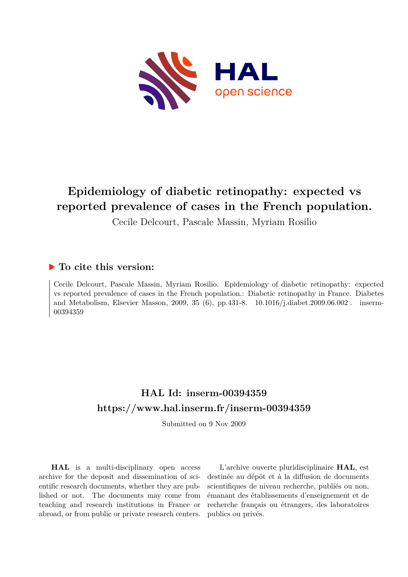

# **Epidemiology of diabetic retinopathy: expected vs reported prevalence of cases in the French population.**

Cecile Delcourt, Pascale Massin, Myriam Rosilio

# **To cite this version:**

Cecile Delcourt, Pascale Massin, Myriam Rosilio. Epidemiology of diabetic retinopathy: expected vs reported prevalence of cases in the French population.: Diabetic retinopathy in France. Diabetes and Metabolism, Elsevier Masson, 2009, 35 (6), pp.431-8. 10.1016/j.diabet.2009.06.002. inserm-00394359

# **HAL Id: inserm-00394359 <https://www.hal.inserm.fr/inserm-00394359>**

Submitted on 9 Nov 2009

**HAL** is a multi-disciplinary open access archive for the deposit and dissemination of scientific research documents, whether they are published or not. The documents may come from teaching and research institutions in France or abroad, or from public or private research centers.

L'archive ouverte pluridisciplinaire **HAL**, est destinée au dépôt et à la diffusion de documents scientifiques de niveau recherche, publiés ou non, émanant des établissements d'enseignement et de recherche français ou étrangers, des laboratoires publics ou privés.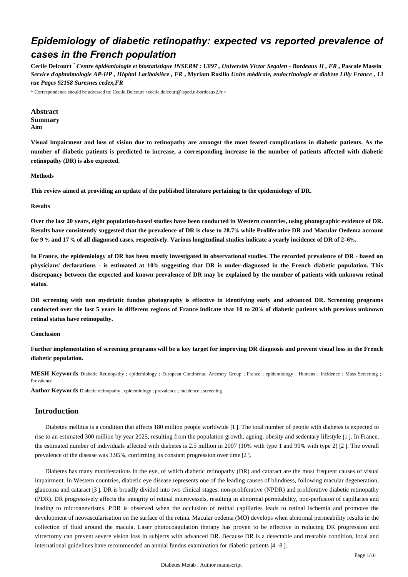# *Epidemiology of diabetic retinopathy: expected vs reported prevalence of cases in the French population*

**Cecile Delcourt** \* *Centre* é*pid*é*miologie et biostatistique INSERM : U897 , Universit*é *Victor Segalen - Bordeaux II , FR* **, Pascale Massin**  *Service d*'*ophtalmologie AP-HP , H*ô*pital Lariboisi*è*re , FR* **, Myriam Rosilio** *Unit*é *m*é*dicale, endocrinologie et diab*è*te Lilly France , 13 rue Pages 92158 Suresnes cedex,FR*

\* Correspondence should be adressed to: Cecile Delcourt <cecile.delcourt@isped.u-bordeaux2.fr >

**Abstract Summary Aim**

**Visual impairment and loss of vision due to retinopathy are amongst the most feared complications in diabetic patients. As the number of diabetic patients is predicted to increase, a corresponding increase in the number of patients affected with diabetic retinopathy (DR) is also expected.**

### **Methods**

**This review aimed at providing an update of the published literature pertaining to the epidemiology of DR.**

**Results**

**Over the last 20 years, eight population-based studies have been conducted in Western countries, using photographic evidence of DR. Results have consistently suggested that the prevalence of DR is close to 28.7**% **while Proliferative DR and Macular Oedema account for 9** % **and 17** % **of all diagnosed cases, respectively. Various longitudinal studies indicate a yearly incidence of DR of 2**–**6**%**.**

**In France, the epidemiology of DR has been mostly investigated in observational studies. The recorded prevalence of DR - based on physicians**' **declarations - is estimated at 10**% **suggesting that DR is under-diagnosed in the French diabetic population. This discrepancy between the expected and known prevalence of DR may be explained by the number of patients with unknown retinal status.**

**DR screening with non mydriatic fundus photography is effective in identifying early and advanced DR. Screening programs conducted over the last 5 years in different regions of France indicate that 10 to 20**% **of diabetic patients with previous unknown retinal status have retinopathy.**

#### **Conclusion**

**Further implementation of screening programs will be a key target for improving DR diagnosis and prevent visual loss in the French diabetic population.**

**MESH Keywords** Diabetic Retinopathy ; epidemiology ; European Continental Ancestry Group ; France ; epidemiology ; Humans ; Incidence ; Mass Screening ; Prevalence

**Author Keywords** Diabetic retinopathy ; epidemiology ; prevalence ; incidence ; screening

# **Introduction**

Diabetes mellitus is a condition that affects 180 million people worldwide [1 ]. The total number of people with diabetes is expected to rise to an estimated 300 million by year 2025, resulting from the population growth, ageing, obesity and sedentary lifestyle [1 ]. In France, the estimated number of individuals affected with diabetes is 2.5 million in 2007 (10% with type 1 and 90% with type 2) [2 ]. The overall prevalence of the disease was 3.95%, confirming its constant progression over time [2 ].

Diabetes has many manifestations in the eye, of which diabetic retinopathy (DR) and cataract are the most frequent causes of visual impairment. In Western countries, diabetic eye disease represents one of the leading causes of blindness, following macular degeneration, glaucoma and cataract [3 ]. DR is broadly divided into two clinical stages: non-proliferative (NPDR) and proliferative diabetic retinopathy (PDR). DR progressively affects the integrity of retinal microvessels, resulting in abnormal permeability, non-perfusion of capillaries and leading to microanevrisms. PDR is observed when the occlusion of retinal capillaries leads to retinal ischemia and promotes the development of neovascularisation on the surface of the retina. Macular oedema (MO) develops when abnormal permeability results in the collection of fluid around the macula. Laser photocoagulation therapy has proven to be effective in reducing DR progression and vitrectomy can prevent severe vision loss in subjects with advanced DR. Because DR is a detectable and treatable condition, local and international guidelines have recommended an annual fundus examination for diabetic patients [4 –8 ].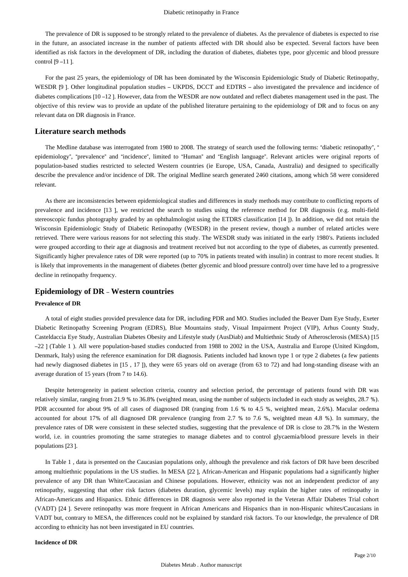The prevalence of DR is supposed to be strongly related to the prevalence of diabetes. As the prevalence of diabetes is expected to rise in the future, an associated increase in the number of patients affected with DR should also be expected. Several factors have been identified as risk factors in the development of DR, including the duration of diabetes, diabetes type, poor glycemic and blood pressure control [9 –11 ].

For the past 25 years, the epidemiology of DR has been dominated by the Wisconsin Epidemiologic Study of Diabetic Retinopathy, WESDR [9]. Other longitudinal population studies – UKPDS, DCCT and EDTRS – also investigated the prevalence and incidence of diabetes complications [10 –12 ]. However, data from the WESDR are now outdated and reflect diabetes management used in the past. The objective of this review was to provide an update of the published literature pertaining to the epidemiology of DR and to focus on any relevant data on DR diagnosis in France.

# **Literature search methods**

The Medline database was interrogated from 1980 to 2008. The strategy of search used the following terms: "diabetic retinopathy", " epidemiology", "prevalence" and "incidence", limited to "Human" and "English language". Relevant articles were original reports of population-based studies restricted to selected Western countries (ie Europe, USA, Canada, Australia) and designed to specifically describe the prevalence and/or incidence of DR. The original Medline search generated 2460 citations, among which 58 were considered relevant.

As there are inconsistencies between epidemiological studies and differences in study methods may contribute to conflicting reports of prevalence and incidence [13 ], we restricted the search to studies using the reference method for DR diagnosis (e.g. multi-field stereoscopic fundus photography graded by an ophthalmologist using the ETDRS classification [14 ]). In addition, we did not retain the Wisconsin Epidemiologic Study of Diabetic Retinopathy (WESDR) in the present review, though a number of related articles were retrieved. There were various reasons for not selecting this study. The WESDR study was initiated in the early 1980's. Patients included were grouped according to their age at diagnosis and treatment received but not according to the type of diabetes, as currently presented. Significantly higher prevalence rates of DR were reported (up to 70% in patients treated with insulin) in contrast to more recent studies. It is likely that improvements in the management of diabetes (better glycemic and blood pressure control) over time have led to a progressive decline in retinopathy frequency.

# **Epidemiology of DR** – **Western countries**

#### **Prevalence of DR**

A total of eight studies provided prevalence data for DR, including PDR and MO. Studies included the Beaver Dam Eye Study, Exeter Diabetic Retinopathy Screening Program (EDRS), Blue Mountains study, Visual Impairment Project (VIP), Arhus County Study, Casteldaccia Eye Study, Australian Diabetes Obesity and Lifestyle study (AusDiab) and Multiethnic Study of Atherosclerosis (MESA) [15 –22 ] (Table 1 ). All were population-based studies conducted from 1988 to 2002 in the USA, Australia and Europe (United Kingdom, Denmark, Italy) using the reference examination for DR diagnosis. Patients included had known type 1 or type 2 diabetes (a few patients had newly diagnosed diabetes in [15, 17]), they were 65 years old on average (from 63 to 72) and had long-standing disease with an average duration of 15 years (from 7 to 14.6).

Despite heterogeneity in patient selection criteria, country and selection period, the percentage of patients found with DR was relatively similar, ranging from 21.9 % to 36.8% (weighted mean, using the number of subjects included in each study as weights, 28.7 %). PDR accounted for about 9% of all cases of diagnosed DR (ranging from 1.6 % to 4.5 %, weighted mean, 2.6%). Macular oedema accounted for about 17% of all diagnosed DR prevalence (ranging from 2.7 % to 7.6 %, weighted mean 4.8 %). In summary, the prevalence rates of DR were consistent in these selected studies, suggesting that the prevalence of DR is close to 28.7% in the Western world, i.e. in countries promoting the same strategies to manage diabetes and to control glycaemia/blood pressure levels in their populations [23 ].

In Table 1 , data is presented on the Caucasian populations only, although the prevalence and risk factors of DR have been described among multiethnic populations in the US studies. In MESA [22 ], African-American and Hispanic populations had a significantly higher prevalence of any DR than White/Caucasian and Chinese populations. However, ethnicity was not an independent predictor of any retinopathy, suggesting that other risk factors (diabetes duration, glycemic levels) may explain the higher rates of retinopathy in African-Americans and Hispanics. Ethnic differences in DR diagnosis were also reported in the Veteran Affair Diabetes Trial cohort (VADT) [24 ]. Severe retinopathy was more frequent in African Americans and Hispanics than in non-Hispanic whites/Caucasians in VADT but, contrary to MESA, the differences could not be explained by standard risk factors. To our knowledge, the prevalence of DR according to ethnicity has not been investigated in EU countries.

#### **Incidence of DR**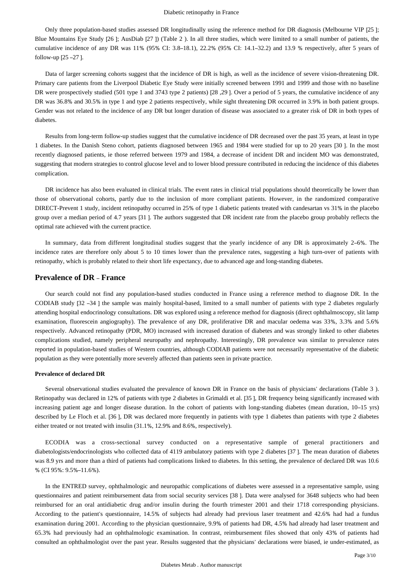Only three population-based studies assessed DR longitudinally using the reference method for DR diagnosis (Melbourne VIP [25 ]; Blue Mountains Eye Study [26 ]; AusDiab [27 ]) (Table 2 ). In all three studies, which were limited to a small number of patients, the cumulative incidence of any DR was 11% (95% CI: 3.8–18.1), 22.2% (95% CI: 14.1–32.2) and 13.9 % respectively, after 5 years of follow-up [25 –27 ].

Data of larger screening cohorts suggest that the incidence of DR is high, as well as the incidence of severe vision-threatening DR. Primary care patients from the Liverpool Diabetic Eye Study were initially screened between 1991 and 1999 and those with no baseline DR were prospectively studied (501 type 1 and 3743 type 2 patients) [28 ,29 ]. Over a period of 5 years, the cumulative incidence of any DR was 36.8% and 30.5% in type 1 and type 2 patients respectively, while sight threatening DR occurred in 3.9% in both patient groups. Gender was not related to the incidence of any DR but longer duration of disease was associated to a greater risk of DR in both types of diabetes.

Results from long-term follow-up studies suggest that the cumulative incidence of DR decreased over the past 35 years, at least in type 1 diabetes. In the Danish Steno cohort, patients diagnosed between 1965 and 1984 were studied for up to 20 years [30 ]. In the most recently diagnosed patients, ie those referred between 1979 and 1984, a decrease of incident DR and incident MO was demonstrated, suggesting that modern strategies to control glucose level and to lower blood pressure contributed in reducing the incidence of this diabetes complication.

DR incidence has also been evaluated in clinical trials. The event rates in clinical trial populations should theoretically be lower than those of observational cohorts, partly due to the inclusion of more compliant patients. However, in the randomized comparative DIRECT-Prevent 1 study, incident retinopathy occurred in 25% of type 1 diabetic patients treated with candesartan vs 31% in the placebo group over a median period of 4.7 years [31 ]. The authors suggested that DR incident rate from the placebo group probably reflects the optimal rate achieved with the current practice.

In summary, data from different longitudinal studies suggest that the yearly incidence of any DR is approximately 2–6%. The incidence rates are therefore only about 5 to 10 times lower than the prevalence rates, suggesting a high turn-over of patients with retinopathy, which is probably related to their short life expectancy, due to advanced age and long-standing diabetes.

# **Prevalence of DR** – **France**

Our search could not find any population-based studies conducted in France using a reference method to diagnose DR. In the CODIAB study [32 –34 ] the sample was mainly hospital-based, limited to a small number of patients with type 2 diabetes regularly attending hospital endocrinology consultations. DR was explored using a reference method for diagnosis (direct ophthalmoscopy, slit lamp examination, fluorescein angiography). The prevalence of any DR, proliferative DR and macular oedema was 33%, 3.3% and 5.6% respectively. Advanced retinopathy (PDR, MO) increased with increased duration of diabetes and was strongly linked to other diabetes complications studied, namely peripheral neuropathy and nephropathy. Interestingly, DR prevalence was similar to prevalence rates reported in population-based studies of Western countries, although CODIAB patients were not necessarily representative of the diabetic population as they were potentially more severely affected than patients seen in private practice.

#### **Prevalence of declared DR**

Several observational studies evaluated the prevalence of known DR in France on the basis of physicians' declarations (Table 3 ). Retinopathy was declared in 12% of patients with type 2 diabetes in Grimaldi et al. [35 ], DR frequency being significantly increased with increasing patient age and longer disease duration. In the cohort of patients with long-standing diabetes (mean duration, 10–15 yrs) described by Le Floch et al. [36 ], DR was declared more frequently in patients with type 1 diabetes than patients with type 2 diabetes either treated or not treated with insulin (31.1%, 12.9% and 8.6%, respectively).

ECODIA was a cross-sectional survey conducted on a representative sample of general practitioners and diabetologists/endocrinologists who collected data of 4119 ambulatory patients with type 2 diabetes [37 ]. The mean duration of diabetes was 8.9 yrs and more than a third of patients had complications linked to diabetes. In this setting, the prevalence of declared DR was 10.6 % (CI 95%: 9.5%–11.6%).

In the ENTRED survey, ophthalmologic and neuropathic complications of diabetes were assessed in a representative sample, using questionnaires and patient reimbursement data from social security services [38 ]. Data were analysed for 3648 subjects who had been reimbursed for an oral antidiabetic drug and/or insulin during the fourth trimester 2001 and their 1718 corresponding physicians. According to the patient's questionnaire, 14.5% of subjects had already had previous laser treatment and 42.6% had had a fundus examination during 2001. According to the physician questionnaire, 9.9% of patients had DR, 4.5% had already had laser treatment and 65.3% had previously had an ophthalmologic examination. In contrast, reimbursement files showed that only 43% of patients had consulted an ophthalmologist over the past year. Results suggested that the physicians' declarations were biased, ie under-estimated, as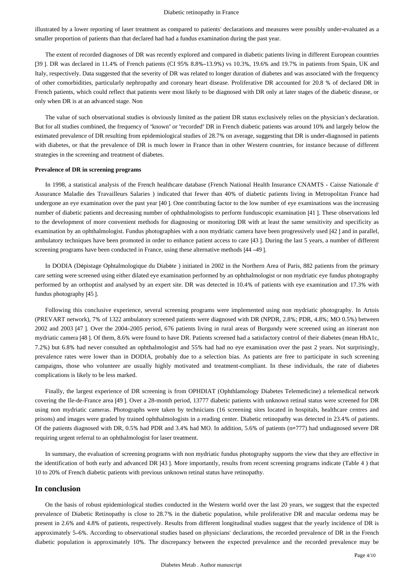#### Diabetic retinopathy in France

illustrated by a lower reporting of laser treatment as compared to patients' declarations and measures were possibly under-evaluated as a smaller proportion of patients than that declared had had a fundus examination during the past year.

The extent of recorded diagnoses of DR was recently explored and compared in diabetic patients living in different European countries [39 ]. DR was declared in 11.4% of French patients (CI 95% 8.8%–13.9%) vs 10.3%, 19.6% and 19.7% in patients from Spain, UK and Italy, respectively. Data suggested that the severity of DR was related to longer duration of diabetes and was associated with the frequency of other comorbidities, particularly nephropathy and coronary heart disease. Proliferative DR accounted for 20.8 % of declared DR in French patients, which could reflect that patients were most likely to be diagnosed with DR only at later stages of the diabetic disease, or only when DR is at an advanced stage. Non

The value of such observational studies is obviously limited as the patient DR status exclusively relies on the physician's declaration. But for all studies combined, the frequency of "known" or "recorded" DR in French diabetic patients was around 10% and largely below the estimated prevalence of DR resulting from epidemiological studies of 28.7% on average, suggesting that DR is under-diagnosed in patients with diabetes, or that the prevalence of DR is much lower in France than in other Western countries, for instance because of different strategies in the screening and treatment of diabetes.

### **Prevalence of DR in screening programs**

In 1998, a statistical analysis of the French healthcare database (French National Health Insurance CNAMTS - Caisse Nationale d' Assurance Maladie des Travailleurs Salaries ) indicated that fewer than 40% of diabetic patients living in Metropolitan France had undergone an eye examination over the past year [40 ]. One contributing factor to the low number of eye examinations was the increasing number of diabetic patients and decreasing number of ophthalmologists to perform funduscopic examination [41 ]. These observations led to the development of more convenient methods for diagnosing or monitoring DR with at least the same sensitivity and specificity as examination by an ophthalmologist. Fundus photographies with a non mydriatic camera have been progressively used [42 ] and in parallel, ambulatory techniques have been promoted in order to enhance patient access to care [43 ]. During the last 5 years, a number of different screening programs have been conducted in France, using these alternative methods [44 –49 ].

In DODIA (Dépistage Ophtalmologique du Diabète ) initiated in 2002 in the Northern Area of Paris, 882 patients from the primary care setting were screened using either dilated eye examination performed by an ophthalmologist or non mydriatic eye fundus photography performed by an orthoptist and analysed by an expert site. DR was detected in 10.4% of patients with eye examination and 17.3% with fundus photography [45 ].

Following this conclusive experience, several screening programs were implemented using non mydriatic photography. In Artois (PREVART network), 7% of 1322 ambulatory screened patients were diagnosed with DR (NPDR, 2.8%; PDR, 4.8%; MO 0.5%) between 2002 and 2003 [47 ]. Over the 2004–2005 period, 676 patients living in rural areas of Burgundy were screened using an itinerant non mydriatic camera [48 ]. Of them, 8.6% were found to have DR. Patients screened had a satisfactory control of their diabetes (mean HbA1c, 7.2%) but 6.8% had never consulted an ophthalmologist and 55% had had no eye examination over the past 2 years. Not surprisingly, prevalence rates were lower than in DODIA, probably due to a selection bias. As patients are free to participate in such screening campaigns, those who volunteer are usually highly motivated and treatment-compliant. In these individuals, the rate of diabetes complications is likely to be less marked.

Finally, the largest experience of DR screening is from OPHDIAT (Ophthlamology Diabetes Telemedicine) a telemedical network covering the Ile-de-France area [49 ]. Over a 28-month period, 13777 diabetic patients with unknown retinal status were screened for DR using non mydriatic cameras. Photographs were taken by technicians (16 screening sites located in hospitals, healthcare centres and prisons) and images were graded by trained ophthalmologists in a reading center. Diabetic retinopathy was detected in 23.4% of patients. Of the patients diagnosed with DR, 0.5% had PDR and 3.4% had MO. In addition, 5.6% of patients (n=777) had undiagnosed severe DR requiring urgent referral to an ophthalmologist for laser treatment.

In summary, the evaluation of screening programs with non mydriatic fundus photography supports the view that they are effective in the identification of both early and advanced DR [43 ]. More importantly, results from recent screening programs indicate (Table 4 ) that 10 to 20% of French diabetic patients with previous unknown retinal status have retinopathy.

### **In conclusion**

On the basis of robust epidemiological studies conducted in the Western world over the last 20 years, we suggest that the expected prevalence of Diabetic Retinopathy is close to 28.7% in the diabetic population, while proliferative DR and macular oedema may be present in 2.6% and 4.8% of patients, respectively. Results from different longitudinal studies suggest that the yearly incidence of DR is approximately 5–6%. According to observational studies based on physicians' declarations, the recorded prevalence of DR in the French diabetic population is approximately 10%. The discrepancy between the expected prevalence and the recorded prevalence may be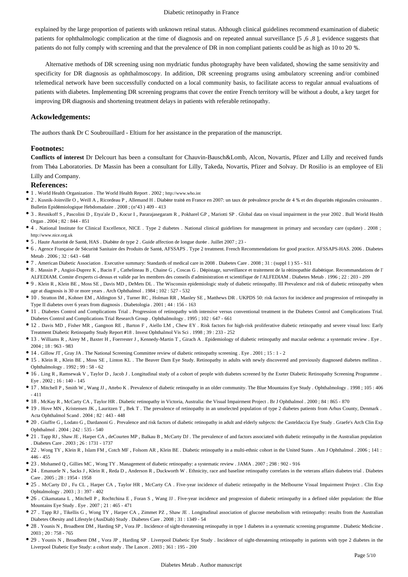#### Diabetic retinopathy in France

explained by the large proportion of patients with unknown retinal status. Although clinical guidelines recommend examination of diabetic patients for ophthalmologic complication at the time of diagnosis and on repeated annual surveillance [5 ,6 ,8 ], evidence suggests that patients do not fully comply with screening and that the prevalence of DR in non compliant patients could be as high as 10 to 20 %.

Alternative methods of DR screening using non mydriatic fundus photography have been validated, showing the same sensitivity and specificity for DR diagnosis as ophthalmoscopy. In addition, DR screening programs using ambulatory screening and/or combined telemedical network have been successfully conducted on a local community basis, to facilitate access to regular annual evaluations of patients with diabetes. Implementing DR screening programs that cover the entire French territory will be without a doubt, a key target for improving DR diagnosis and shortening treatment delays in patients with referable retinopathy.

#### **Ackowledgements:**

The authors thank Dr C Soubrouillard - Eltium for her assistance in the preparation of the manuscript.

#### **Footnotes:**

**Conflicts of interest** Dr Delcourt has been a consultant for Chauvin-Bausch&Lomb, Alcon, Novartis, Pfizer and Lilly and received funds from Théa Laboratories. Dr Massin has been a consultant for Lilly, Takeda, Novartis, Pfizer and Solvay. Dr Rosilio is an employee of Eli Lilly and Company.

#### **References:**

- 1 . World Health Organization . The World Health Report . 2002 ; http://www.who.int
- 2 . Kusnik-Joinville O , Weill A , Ricordeau P , Allemand H . Diabète traité en France en 2007: un taux de prévalence proche de 4 % et des disparités régionales croissantes . Bulletin Epidémiologique Hebdomadaire . 2008 ; (n°43 ) 409 - 413
- 3 . Resnikoff S , Pascolini D , Etya'ale D , Kocur I , Pararajasegaram R , Pokharel GP , Mariotti SP . Global data on visual impairment in the year 2002 . Bull World Health Organ . 2004 ; 82 : 844 - 851
- 4 . National Institute for Clinical Excellence, NICE . Type 2 diabetes . National clinical guidelines for management in primary and secondary care (update) . 2008 ; http://www.nice.org.uk
- 5 . Haute Autorité de Santé, HAS . Diabète de type 2 . Guide affection de longue durée . Juillet 2007 ; 23 -
- 6 . Agence Française de Sécurité Sanitaire des Produits de Santé, AFSSAPS . Type 2 treatment. French Recommendations for good practice. AFSSAPS-HAS. 2006 . Diabetes Metab . 2006 ; 32 : 643 - 648
- 7 . American Diabetic Association . Executive summary: Standards of medical care in 2008 . Diabetes Care . 2008 ; 31 : (suppl 1 ) S5 S11
- 8 . Massin P , Angioi-Duprez K , Bacin F , Cathelineau B , Chaine G , Coscas G . Dépistage, surveillance et traitement de la rétinopathie diabétique. Recommandations de l' ALFEDIAM. Comite d'experts ci-dessus et valide par les membres des conseils d'administration et scientifique de l'ALFEDIAM . Diabetes Metab . 1996 ; 22 : 203 - 209
- 9 . Klein R , Klein BE , Moss SE , Davis MD , DeMets DL . The Wisconsin epidemiologic study of diabetic retinopathy. III Prevalence and risk of diabetic retinopathy when age at diagnosis is 30 or more years . Arch Ophthalmol . 1984 ; 102 : 527 - 532
- 10 . Stratton IM , Kohner EM , Aldington SJ , Turner RC , Holman RR , Manley SE , Matthews DR . UKPDS 50: risk factors for incidence and progression of retinopathy in Type II diabetes over 6 years from diagnosis . Diabetologia . 2001 ; 44 : 156 - 163
- 11 . Diabetes Control and Complications Trial . Progression of retinopathy with intensive versus conventional treatment in the Diabetes Control and Complications Trial. Diabetes Control and Complications Trial Research Group . Ophthalmology . 1995 ; 102 : 647 - 661
- 12 . Davis MD , Fisher MR , Gangnon RE , Barton F , Aiello LM , Chew EY . Risk factors for high-risk proliferative diabetic retinopathy and severe visual loss: Early Treatment Diabetic Retinopathy Study Report #18 . Invest Ophthalmol Vis Sci . 1998 ; 39 : 233 - 252
- 13 . Williams R , Airey M , Baxter H , Foerrester J , Kennedy-Martin T , Girach A . Epidemiology of diabetic retinopathy and macular oedema: a systematic review . Eye . 2004 ; 18 : 963 - 983
- 14 . Gillow JT , Gray JA . The National Screening Committee review of diabetic retinopathy screening . Eye . 2001 ; 15 : 1 2
- 15 . Klein R , Klein BE , Moss SE , Linton KL . The Beaver Dam Eye Study. Retinopathy in adults with newly discovered and previously diagnosed diabetes mellitus . Ophthalmology . 1992 ; 99 : 58 - 62
- 16 . Ling R , Ramsewak V , Taylor D , Jacob J . Longitudinal study of a cohort of people with diabetes screened by the Exeter Diabetic Retinopathy Screening Programme . Eye . 2002 ; 16 : 140 - 145
- 17 . Mitchell P , Smith W , Wang JJ , Attebo K . Prevalence of diabetic retinopathy in an older community. The Blue Mountains Eye Study . Ophthalmology . 1998 ; 105 : 406 - 411
- 18 . McKay R , McCarty CA , Taylor HR . Diabetic retinopathy in Victoria, Australia: the Visual Impairment Project . Br J Ophthalmol . 2000 ; 84 : 865 870
- 19 . Hove MN , Kristensen JK , Lauritzen T , Bek T . The prevalence of retinopathy in an unselected population of type 2 diabetes patients from Arhus County, Denmark . Acta Ophthalmol Scand . 2004 ; 82 : 443 - 448
- 20 . Giuffre G , Lodato G , Dardanoni G . Prevalence and risk factors of diabetic retinopathy in adult and elderly subjects: the Casteldaccia Eye Study . Graefe's Arch Clin Exp Ophthalmol  $.2004 \cdot 242 \cdot 535 = 540$
- 21 . Tapp RJ , Shaw JE , Harper CA , deCourten MP , Balkau B , McCarty DJ . The prevalence of and factors associated with diabetic retinopathy in the Australian population . Diabetes Care . 2003 ; 26 : 1731 - 1737
- 22 . Wong TY , Klein R , Islam FM , Cotch MF , Folsom AR , Klein BE . Diabetic retinopathy in a multi-ethnic cohort in the United States . Am J Ophthalmol . 2006 ; 141 : 446 - 455
- 23 . Mohamed Q , Gillies MC , Wong TY . Management of diabetic retinopathy: a systematic review . JAMA . 2007 ; 298 : 902 916
- 24 . Emanuele N , Sacks J , Klein R , Reda D , Anderson R , Duckworth W . Ethnicity, race and baseline retinopathy correlates in the veterans affairs diabetes trial . Diabetes  $Care$  2005  $\cdot$  28  $\cdot$  1954 - 1958
- 25 . McCarty DJ , Fu CL , Harper CA , Taylor HR , McCarty CA . Five-year incidence of diabetic retinopathy in the Melbourne Visual Impairment Project . Clin Exp Ophtalmology . 2003 ; 3 : 397 - 402
- 26 . Cikamatana L , Mitchell P , Rochtchina E , Foran S , Wang JJ . Five-year incidence and progression of diabetic retinopathy in a defined older population: the Blue Mountains Eye Study . Eye . 2007 ; 21 : 465 - 471
- 27 . Tapp RJ , Tikellis G , Wong TY , Harper CA , Zimmet PZ , Shaw JE . Longitudinal association of glucose metabolism with retinopathy: results from the Australian Diabetes Obesity and Lifestyle (AusDiab) Study . Diabetes Care . 2008 ; 31 : 1349 - 54
- 28 . Younis N , Broadbent DM , Harding SP , Vora JP . Incidence of sight-threatening retinopathy in type 1 diabetes in a systematic screening programme . Diabetic Medicine . 2003 ; 20 : 758 - 765
- 29 . Younis N , Broadbent DM , Vora JP , Harding SP . Liverpool Diabetic Eye Study . Incidence of sight-threatening retinopathy in patients with type 2 diabetes in the Liverpool Diabetic Eye Study: a cohort study . The Lancet . 2003 ; 361 : 195 - 200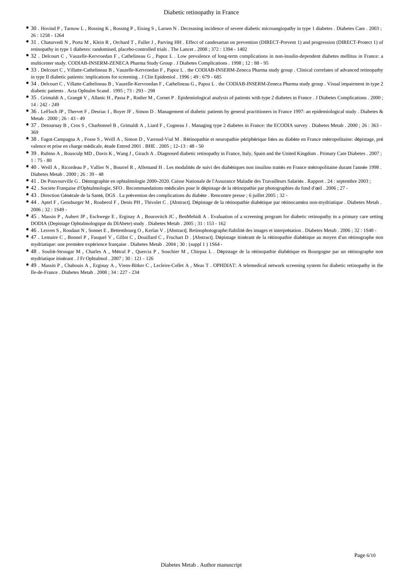- 30 . Hovind P , Tarnow L , Rossing K , Rossing P , Eising S , Larsen N . Decreasing incidence of severe diabetic microangiopathy in type 1 diabetes . Diabetes Care . 2003 ; 26 : 1258 - 1264
- <sup>•</sup> 31 . Chaturvedi N , Porta M , Klein R , Orchard T , Fuller J , Parving HH . Effect of candesartan on prevention (DIRECT-Prevent 1) and progression (DIRECT-Protect 1) of retinopathy in type 1 diabetes: randomised, placebo-controlled trials . The Lancet . 2008 ; 372 : 1394 - 1402
- 32 . Delcourt C , Vauzelle-Kervroedan F , Cathelineau G , Papoz L . Low prevalence of long-term complications in non-insulin-dependent diabetes mellitus in France: a multicenter study. CODIAB-INSERM-ZENECA Pharma Study Group . J Diabetes Complications . 1998 ; 12 : 88 - 95
- 33 . Delcourt C , Villatte-Cathelineau B , Vauzelle-Kervroedan F , Papoz L . the CODIAB-INSERM-Zeneca Pharma study group . Clinical correlates of advanced retinopathy in type II diabetic patients: implications for screening . J Clin Epidemiol . 1996 ; 49 : 679 - 685
- 34 . Delcourt C , Villatte-Cathelineau B , Vauzelle-Kervroedan F , Cathelineau G , Papoz L . the CODIAB-INSERM-Zeneca Pharma study group . Visual impairment in type 2 diabetic patients . Acta Ophtalm Scand . 1995 ; 73 : 293 - 298
- 35 . Grimaldi A , Grangé V , Allanic H , Passa P , Rodier M , Cornet P . Epidemiological analysis of patients with type 2 diabetes in France . J Diabetes Complications . 2000 ;  $14 \cdot 242 - 249$
- 36 . LeFloch JP , Thervet F , Desriac I , Boyer JF , Simon D . Management of diabetic patients by general practitioners in France 1997: an epidemiological study . Diabetes & Metab . 2000 ; 26 : 43 - 49
- 37 . Detournay B , Cros S , Charbonnel B , Grimaldi A , Liard F , Cogneau J . Managing type 2 diabetes in France: the ECODIA survey . Diabetes Metab . 2000 ; 26 : 363 369
- 38 . Fagot-Campagna A , Fosse S , Weill A , Simon D , Varroud-Vial M . Rétinopathie et neuropathie périphérique liées au diabète en France métropolitaine: dépistage, pré valence et prise en charge médicale, étude Entred 2001 . BHE . 2005 ; 12–13 : 48 - 50
- 39 . Rubino A , Rousculp MD , Davis K , Wang J , Girach A . Diagnosed diabetic retinopathy in France, Italy, Spain and the United Kingdom . Primary Care Diabetes . 2007 ;  $1 \cdot 75 - 80$
- 40 . Weill A , Ricordeau P , Vallier N , Bourrel R , Allemand H . Les modalités de suivi des diabétiques non insulino traités en France métropolitaine durant l'année 1998 . Diabetes Metab . 2000 ; 26 : 39 - 48
- 41 . De Pouvourville G . Démographie en ophtalmologie 2000–2020. Caisse Nationale de l'Assurance Maladie des Travailleurs Salariés . Rapport . 24 : septembre 2003 ;
- 42 . Societe Française d'Ophtalmologie, SFO . Recommandations médicales pour le dépistage de la rétinopathie par photographies du fond d'œil . 2006 ; 27 -
- 43 . Direction Générale de la Santé, DGS . La prévention des complications du diabète . Rencontre presse ; 6 juillet 2005 ; 32 -
- 44 . Aptel F , Gensburger M , Rouberol F , Denis PH , Thivolet C . [Abstract]. Dépistage de la rétinopathie diabétique par rétinocaméra non-mydriatique . Diabetes Metab . 2006 ; 32 : 1S49 -
- 45 . Massin P , Aubert JP , Eschwege E , Erginay A , Bourovitch JC , BenMehidi A . Evaluation of a screening program for diabetic retinopathy in a primary care setting DODIA (Depistage Ophtalmologique du DIAbete) study . Diabetes Metab . 2005 ; 31 : 153 - 162
- 46 . Lesven S , Roudaut N , Sonnet E , Bettembourg O , Kerlan V . [Abstract]. Retinophotographe:fiabilité des images et interprétation . Diabetes Metab . 2006 ; 32 : 1S48 -
- 47 . Lemaire C , Bonnel P , Fasquel V , Gillot C , Douillard C , Fruchart D . [Abstract]. Dépistage itinérant de la rétinopathie diabétique au moyen d'un rétinographe non mydriatique: une première expérience française . Diabetes Metab . 2004 ; 30 : (suppl 1 ) 1S64 -
- 48 . Soulié-Strougar M , Charles A , Métral P , Quercia P , Souchier M , Chirpaz L . Dépistage de la rétinopathie diabétique en Bourgogne par un rétinographe non mydriatique itinérant . J Fr Ophtalmol . 2007 ; 30 : 121 - 126
- 49 . Massin P , Chabouis A , Erginay A , Viens-Bitker C , Lecleire-Collet A , Meas T . OPHDIAT: A telemedical network screening system for diabetic retinopathy in the Ile-de-France . Diabetes Metab . 2008 ; 34 : 227 - 234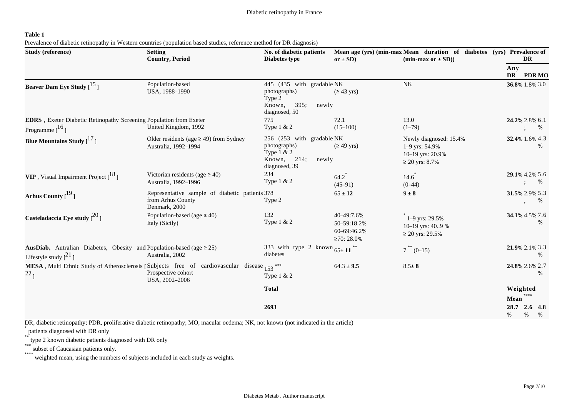# **Table 1**

Prevalence of diabetic retinopathy in Western countries (population based studies, reference method for DR diagnosis)

| <b>Study (reference)</b>                                                                                            | <b>Setting</b><br><b>Country, Period</b>                                             | No. of diabetic patients<br>Diabetes type                                                             | or $\pm$ SD)                                          | Mean age (yrs) (min-max Mean duration of diabetes (yrs) Prevalence of<br>$(min-max or \pm SD))$ | DR                                  |  |
|---------------------------------------------------------------------------------------------------------------------|--------------------------------------------------------------------------------------|-------------------------------------------------------------------------------------------------------|-------------------------------------------------------|-------------------------------------------------------------------------------------------------|-------------------------------------|--|
|                                                                                                                     |                                                                                      |                                                                                                       |                                                       |                                                                                                 | Any<br>DR PDRMO                     |  |
| Beaver Dam Eye Study $\left[ \begin{smallmatrix} 15 \\ 1 \end{smallmatrix} \right]$                                 | Population-based<br>USA, 1988-1990                                                   | 445 (435 with gradable NK<br>photographs)<br>Type 2<br>395;<br>Known,<br>newly<br>diagnosed, 50       | $(≥ 43 \text{ yrs})$                                  | NK                                                                                              | 36.8% 1.8% 3.0                      |  |
| EDRS, Exeter Diabetic Retinopathy Screening Population from Exeter<br>Programme $[$ <sup>16</sup> ]                 | United Kingdom, 1992                                                                 | 775<br>Type 1 & 2                                                                                     | 72.1<br>$(15-100)$                                    | 13.0<br>$(1-79)$                                                                                | 24.2% 2.8% 6.1<br>%                 |  |
| Blue Mountains Study $\begin{bmatrix}1'\\1\end{bmatrix}$                                                            | Older residents (age $\geq$ 49) from Sydney<br>Australia, 1992-1994                  | 256 (253 with gradable NK<br>photographs)<br>Type $1 & 2$<br>Known, $214$ ;<br>newly<br>diagnosed, 39 | $(≥ 49 \text{ yrs})$                                  | Newly diagnosed: 15.4%<br>1-9 yrs: 54.9%<br>10-19 yrs: 20.9%<br>$≥ 20 \text{ yrs}: 8.7\%$       | 32.4% 1.6% 4.3<br>%                 |  |
| <b>VIP</b> , Visual Impairment Project $\begin{bmatrix} 18 \\ 1 \end{bmatrix}$                                      | Victorian residents (age $\geq$ 40)<br>Australia, 1992-1996                          | 234<br>Type 1 & 2                                                                                     | $64.2$ <sup>*</sup><br>$(45-91)$                      | $14.6^{*}$<br>$(0-44)$                                                                          | 29.1% 4.2% 5.6<br>$\%$              |  |
| Arhus County $[19]$                                                                                                 | Representative sample of diabetic patients 378<br>from Arhus County<br>Denmark, 2000 | Type 2                                                                                                | $65 \pm 12$                                           | $9 \pm 8$                                                                                       | 31.5% 2.9% 5.3<br>%                 |  |
| Casteladaccia Eye study $[20]$                                                                                      | Population-based (age $\geq$ 40)<br>Italy (Sicily)                                   | 132<br>Type 1 & 2                                                                                     | 40-49:7.6%<br>50-59:18.2%<br>60-69:46.2%<br>≥70:28.0% | $^{\circ}$ 1–9 yrs: 29.5%<br>10-19 yrs: 40.9%<br>≥ 20 yrs: 29.5%                                | 34.1% 4.5% 7.6<br>$\%$              |  |
| <b>AusDiab,</b> Autralian Diabetes, Obesity and Population-based (age $\geq$ 25)<br>Lifestyle study $\binom{21}{1}$ | Australia, 2002                                                                      | 333 with type 2 known $65 \pm 11$ <sup>**</sup><br>diabetes                                           |                                                       | $7^{**}$ (0-15)                                                                                 | 21.9% 2.1% 3.3<br>%                 |  |
| MESA, Multi Ethnic Study of Atherosclerosis [Subjects free of cardiovascular disease 153***<br>$^{22}$ ]            | Prospective cohort<br>USA, 2002-2006                                                 | Type 1 & 2                                                                                            | $64.3 \pm 9.5$                                        | $8.5 \pm 8$                                                                                     | 24.8% 2.6% 2.7<br>%                 |  |
|                                                                                                                     |                                                                                      | <b>Total</b>                                                                                          |                                                       |                                                                                                 | Weighted<br>Mean                    |  |
|                                                                                                                     |                                                                                      | 2693                                                                                                  |                                                       |                                                                                                 | 28.7<br>$2.6$ 4.8<br>%<br>%<br>$\%$ |  |

DR, diabetic retinopathy; PDR, proliferative diabetic retinopathy; MO, macular oedema; NK, not known (not indicated in the article)

\* patients diagnosed with DR only

\*\* type 2 known diabetic patients diagnosed with DR only

\*\*\* subset of Caucasian patients only.

\*\*\*\* weighted mean, using the numbers of subjects included in each study as weights.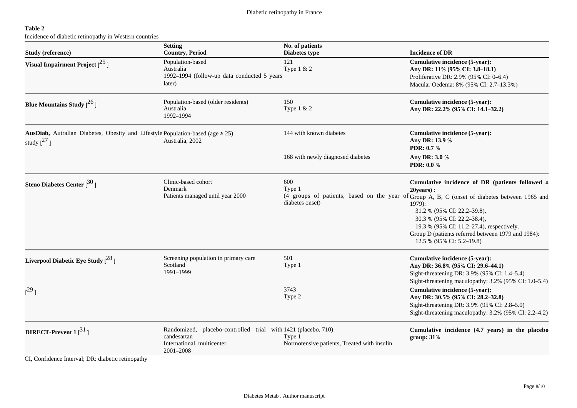# **Table 2**

Incidence of diabetic retinopathy in Western countries

| <b>Study (reference)</b>                                                                                     | <b>Setting</b><br><b>Country, Period</b>                                                                                | No. of patients<br>Diabetes type                      | <b>Incidence of DR</b>                                                                                                                                                                                                                                                                                                                                                              |
|--------------------------------------------------------------------------------------------------------------|-------------------------------------------------------------------------------------------------------------------------|-------------------------------------------------------|-------------------------------------------------------------------------------------------------------------------------------------------------------------------------------------------------------------------------------------------------------------------------------------------------------------------------------------------------------------------------------------|
| Visual Impairment Project $[$ <sup>25</sup> l                                                                | Population-based<br>Australia<br>1992-1994 (follow-up data conducted 5 years<br>later)                                  | 121<br>Type 1 & 2                                     | Cumulative incidence (5-year):<br>Any DR: 11% (95% CI: 3.8-18.1)<br>Proliferative DR: 2.9% (95% CI: 0-6.4)<br>Macular Oedema: 8% (95% CI: 2.7-13.3%)                                                                                                                                                                                                                                |
| Blue Mountains Study $[^{26}]$                                                                               | Population-based (older residents)<br>Australia<br>1992-1994                                                            | 150<br>Type 1 & 2                                     | Cumulative incidence (5-year):<br>Any DR: 22.2% (95% CI: 14.1-32.2)                                                                                                                                                                                                                                                                                                                 |
| AusDiab, Autralian Diabetes, Obesity and Lifestyle Population-based (age $\geq$ 25)<br>study $\binom{27}{1}$ | Australia, 2002                                                                                                         | 144 with known diabetes                               | Cumulative incidence (5-year):<br>Any DR: 13.9 %<br><b>PDR: 0.7 %</b>                                                                                                                                                                                                                                                                                                               |
|                                                                                                              |                                                                                                                         | 168 with newly diagnosed diabetes                     | Any DR: 3.0 %<br><b>PDR: 0.0 %</b>                                                                                                                                                                                                                                                                                                                                                  |
| Steno Diabetes Center $[30]$                                                                                 | Clinic-based cohort<br>Denmark<br>Patients managed until year 2000                                                      | 600<br>Type 1<br>diabetes onset)                      | Cumulative incidence of DR (patients followed $\ge$<br>$20 \text{years}$ :<br>(4 groups of patients, based on the year of Group A, B, C (onset of diabetes between 1965 and<br>1979):<br>31.2 % (95% CI: 22.2-39.8),<br>30.3 % (95% CI: 22.2-38.4),<br>19.3 % (95% CI: 11.2-27.4), respectively.<br>Group D (patients referred between 1979 and 1984):<br>12.5 % (95% CI: 5.2-19.8) |
| Liverpool Diabetic Eye Study $[^{28}]$                                                                       | Screening population in primary care<br>Scotland<br>1991-1999                                                           | 501<br>Type 1                                         | Cumulative incidence (5-year):<br>Any DR: 36.8% (95% CI: 29.6-44.1)<br>Sight-threatening DR: 3.9% (95% CI: 1.4–5.4)<br>Sight-threatening maculopathy: 3.2% (95% CI: 1.0-5.4)                                                                                                                                                                                                        |
| $[{}^{29}]$                                                                                                  |                                                                                                                         | 3743<br>Type 2                                        | Cumulative incidence (5-year):<br>Any DR: 30.5% (95% CI: 28.2-32.8)<br>Sight-threatening DR: 3.9% (95% CI: 2.8-5.0)<br>Sight-threatening maculopathy: 3.2% (95% CI: 2.2-4.2)                                                                                                                                                                                                        |
| DIRECT-Prevent $1\binom{31}{ }$                                                                              | Randomized, placebo-controlled trial with 1421 (placebo, 710)<br>candesartan<br>International, multicenter<br>2001-2008 | Type 1<br>Normotensive patients, Treated with insulin | Cumulative incidence (4.7 years) in the placebo<br>group: 31%                                                                                                                                                                                                                                                                                                                       |

CI, Confidence Interval; DR: diabetic retinopathy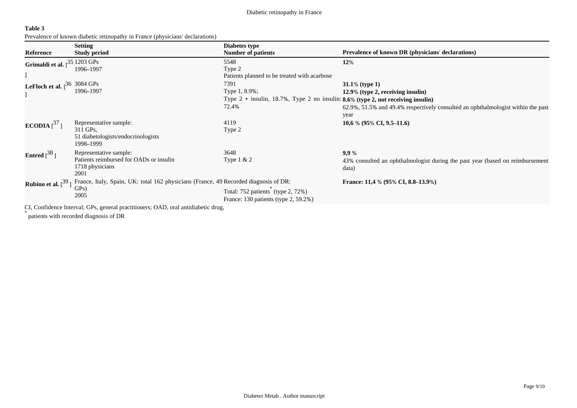Diabetic retinopathy in France

| 'able |  |
|-------|--|
|-------|--|

Prevalence of known diabetic retinopathy in France (physicians' declarations)

|                                       | <b>Setting</b>                                                                                      | Diabetes type                                                                                               |                                                                                                 |
|---------------------------------------|-----------------------------------------------------------------------------------------------------|-------------------------------------------------------------------------------------------------------------|-------------------------------------------------------------------------------------------------|
| Reference                             | <b>Study period</b>                                                                                 | <b>Number of patients</b>                                                                                   | Prevalence of known DR (physicians' declarations)                                               |
| Grimaldi et al.                       | $-351203$ GPs<br>1996-1997                                                                          | 5548<br>Type 2<br>Patients planned to be treated with acarbose                                              | 12%                                                                                             |
| LeFloch et al. $36\,3084\,\text{GPs}$ | 1996-1997                                                                                           | 7391<br>Type 1, 8.9%;<br>Type $2 +$ insulin, 18.7%, Type 2 no insulin: 8.6% (type 2, not receiving insulin) | $31.1\%$ (type 1)<br>12.9% (type 2, receiving insulin)                                          |
|                                       |                                                                                                     | 72.4%                                                                                                       | 62.9%, 51.5% and 49.4% respectively consulted an ophthalmologist within the past<br>year        |
| ECODIA $[^{37}]$                      | Representative sample:<br>311 GPs,<br>51 diabetologists/endocrinologists<br>1998-1999               | 4119<br>Type 2                                                                                              | $10,6%$ (95% CI, 9.5–11.6)                                                                      |
| Entred $[$ <sup>38</sup> ]            | Representative sample:<br>Patients reimbursed for OADs or insulin<br>1718 physicians<br>2001        | 3648<br>Type $1 & 2$                                                                                        | 9,9%<br>43% consulted an ophthalmologist during the past year (based on reimbursement)<br>data) |
| <b>Rubino et al.</b> $\binom{39}{ }$  | France, Italy, Spain, UK: total 162 physicians (France, 49 Recorded diagnosis of DR:<br>GPs<br>2005 | Total: 752 patients (type 2, 72%)<br>France: $130$ patients (type 2, $59.2\%$ )                             | France: 11,4 % (95% CI, 8.8–13.9%)                                                              |
|                                       | CI, Confidence Interval; GPs, general practitioners; OAD, oral antidiabetic drug,                   |                                                                                                             |                                                                                                 |

\* patients with recorded diagnosis of DR